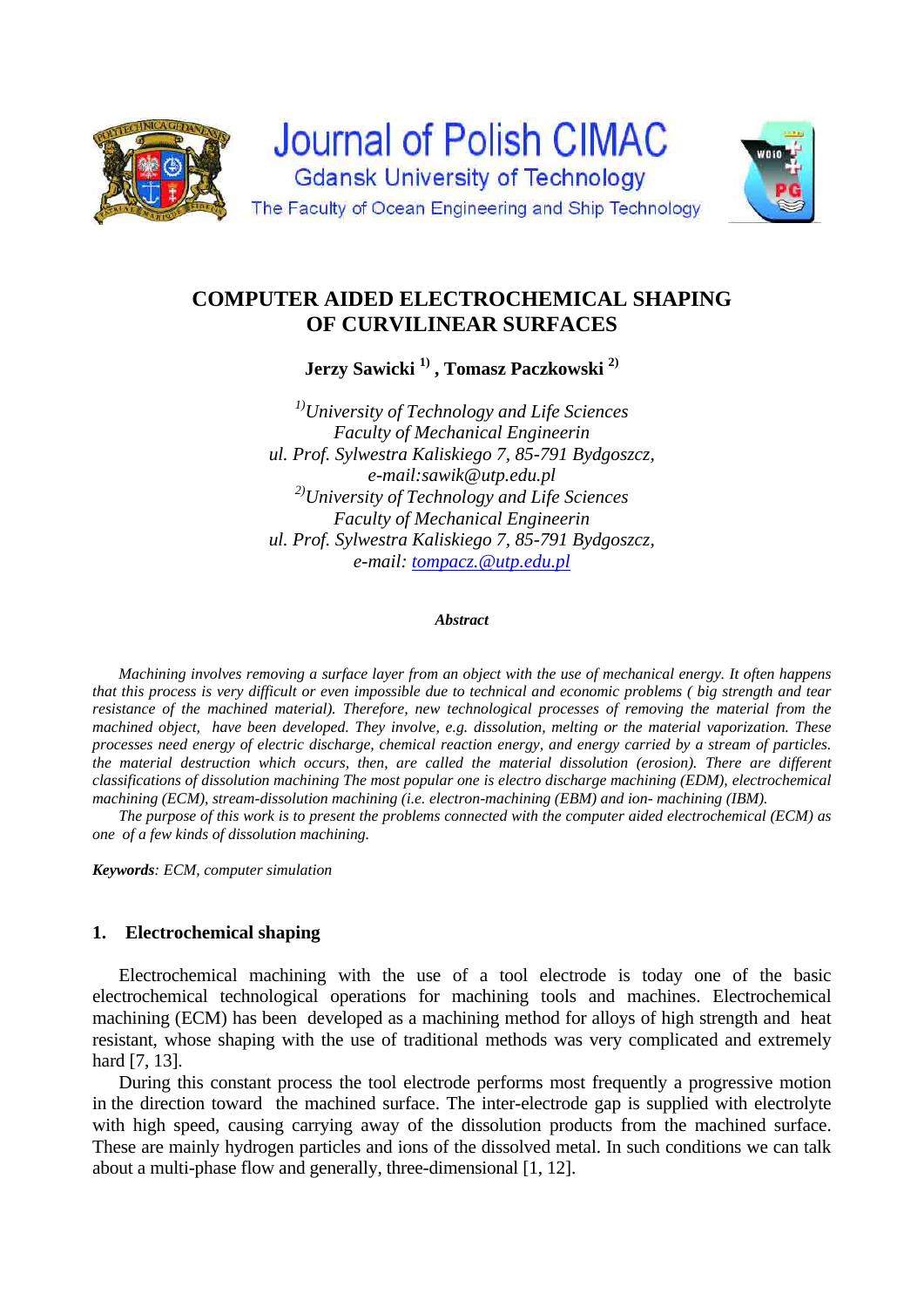



# **COMPUTER AIDED ELECTROCHEMICAL SHAPING OF CURVILINEAR SURFACES**

**Jerzy Sawicki 1) , Tomasz Paczkowski 2)** 

*1)University of Technology and Life Sciences Faculty of Mechanical Engineerin ul. Prof. Sylwestra Kaliskiego 7, 85-791 Bydgoszcz, e-mail:sawik@utp.edu.pl 2)University of Technology and Life Sciences Faculty of Mechanical Engineerin ul. Prof. Sylwestra Kaliskiego 7, 85-791 Bydgoszcz, e-mail: tompacz.@utp.edu.pl*

#### *Abstract*

 *Machining involves removing a surface layer from an object with the use of mechanical energy. It often happens that this process is very difficult or even impossible due to technical and economic problems ( big strength and tear resistance of the machined material). Therefore, new technological processes of removing the material from the machined object, have been developed. They involve, e.g. dissolution, melting or the material vaporization. These processes need energy of electric discharge, chemical reaction energy, and energy carried by a stream of particles. the material destruction which occurs, then, are called the material dissolution (erosion). There are different classifications of dissolution machining The most popular one is electro discharge machining (EDM), electrochemical machining (ECM), stream-dissolution machining (i.e. electron-machining (EBM) and ion- machining (IBM).* 

 *The purpose of this work is to present the problems connected with the computer aided electrochemical (ECM) as one of a few kinds of dissolution machining.* 

*Keywords: ECM, computer simulation*

# **1. Electrochemical shaping**

Electrochemical machining with the use of a tool electrode is today one of the basic electrochemical technological operations for machining tools and machines. Electrochemical machining (ECM) has been developed as a machining method for alloys of high strength and heat resistant, whose shaping with the use of traditional methods was very complicated and extremely hard [7, 13].

 During this constant process the tool electrode performs most frequently a progressive motion in the direction toward the machined surface. The inter-electrode gap is supplied with electrolyte with high speed, causing carrying away of the dissolution products from the machined surface. These are mainly hydrogen particles and ions of the dissolved metal. In such conditions we can talk about a multi-phase flow and generally, three-dimensional [1, 12].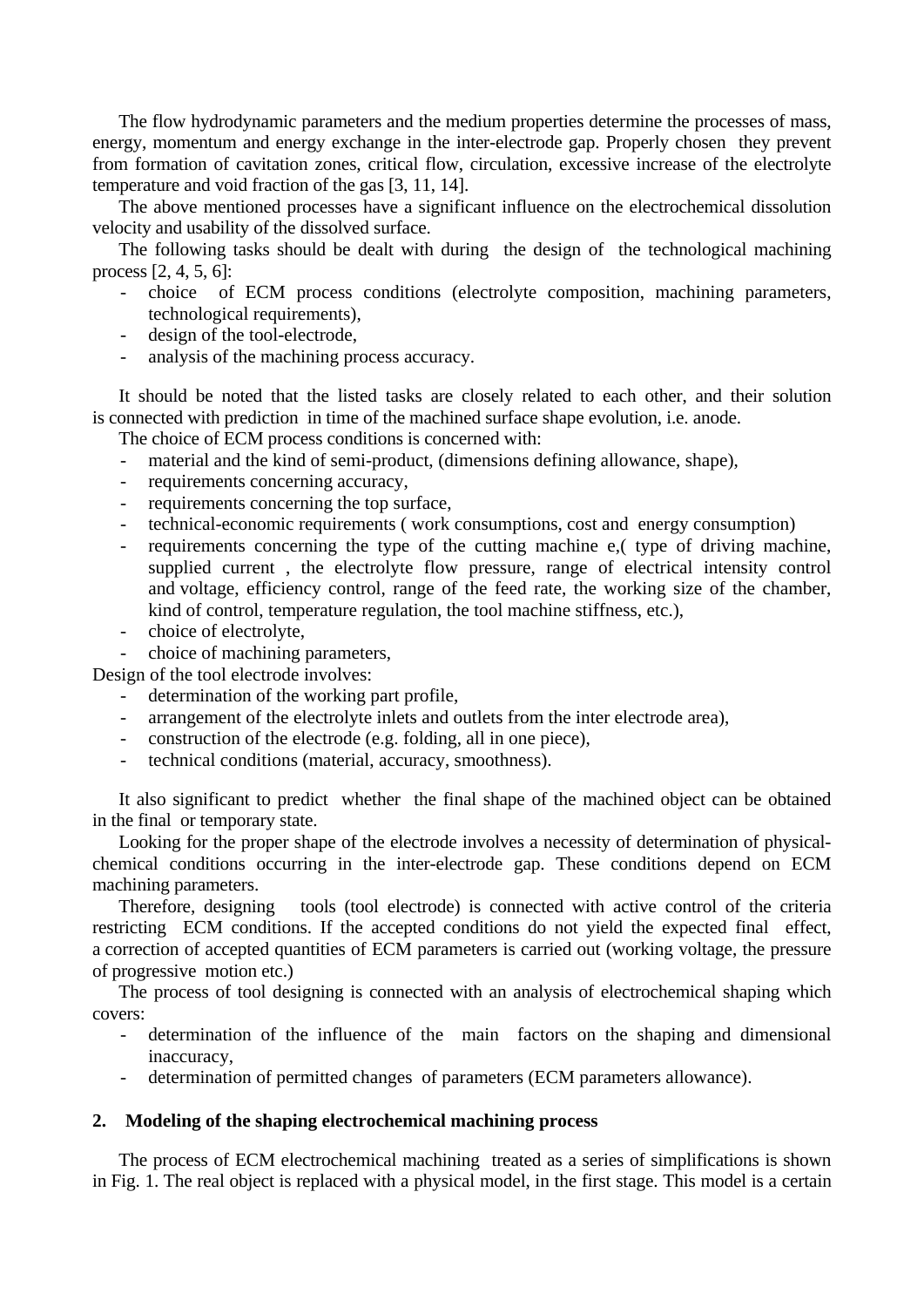The flow hydrodynamic parameters and the medium properties determine the processes of mass, energy, momentum and energy exchange in the inter-electrode gap. Properly chosen they prevent from formation of cavitation zones, critical flow, circulation, excessive increase of the electrolyte temperature and void fraction of the gas [3, 11, 14].

 The above mentioned processes have a significant influence on the electrochemical dissolution velocity and usability of the dissolved surface.

 The following tasks should be dealt with during the design of the technological machining process [2, 4, 5, 6]:

- choice of ECM process conditions (electrolyte composition, machining parameters, technological requirements),
- design of the tool-electrode.
- analysis of the machining process accuracy.

 It should be noted that the listed tasks are closely related to each other, and their solution is connected with prediction in time of the machined surface shape evolution, i.e. anode.

The choice of ECM process conditions is concerned with:

- material and the kind of semi-product, (dimensions defining allowance, shape),
- requirements concerning accuracy,
- requirements concerning the top surface,
- technical-economic requirements ( work consumptions, cost and energy consumption)
- requirements concerning the type of the cutting machine e, (type of driving machine, supplied current , the electrolyte flow pressure, range of electrical intensity control and voltage, efficiency control, range of the feed rate, the working size of the chamber, kind of control, temperature regulation, the tool machine stiffness, etc.),
- choice of electrolyte,
- choice of machining parameters,

Design of the tool electrode involves:

- determination of the working part profile,
- arrangement of the electrolyte inlets and outlets from the inter electrode area),
- construction of the electrode (e.g. folding, all in one piece),
- technical conditions (material, accuracy, smoothness).

It also significant to predict whether the final shape of the machined object can be obtained in the final or temporary state.

 Looking for the proper shape of the electrode involves a necessity of determination of physicalchemical conditions occurring in the inter-electrode gap. These conditions depend on ECM machining parameters.

 Therefore, designing tools (tool electrode) is connected with active control of the criteria restricting ECM conditions. If the accepted conditions do not yield the expected final effect, a correction of accepted quantities of ECM parameters is carried out (working voltage, the pressure of progressive motion etc.)

 The process of tool designing is connected with an analysis of electrochemical shaping which covers:

- determination of the influence of the main factors on the shaping and dimensional inaccuracy,
- determination of permitted changes of parameters (ECM parameters allowance).

## **2. Modeling of the shaping electrochemical machining process**

The process of ECM electrochemical machining treated as a series of simplifications is shown in Fig. 1. The real object is replaced with a physical model, in the first stage. This model is a certain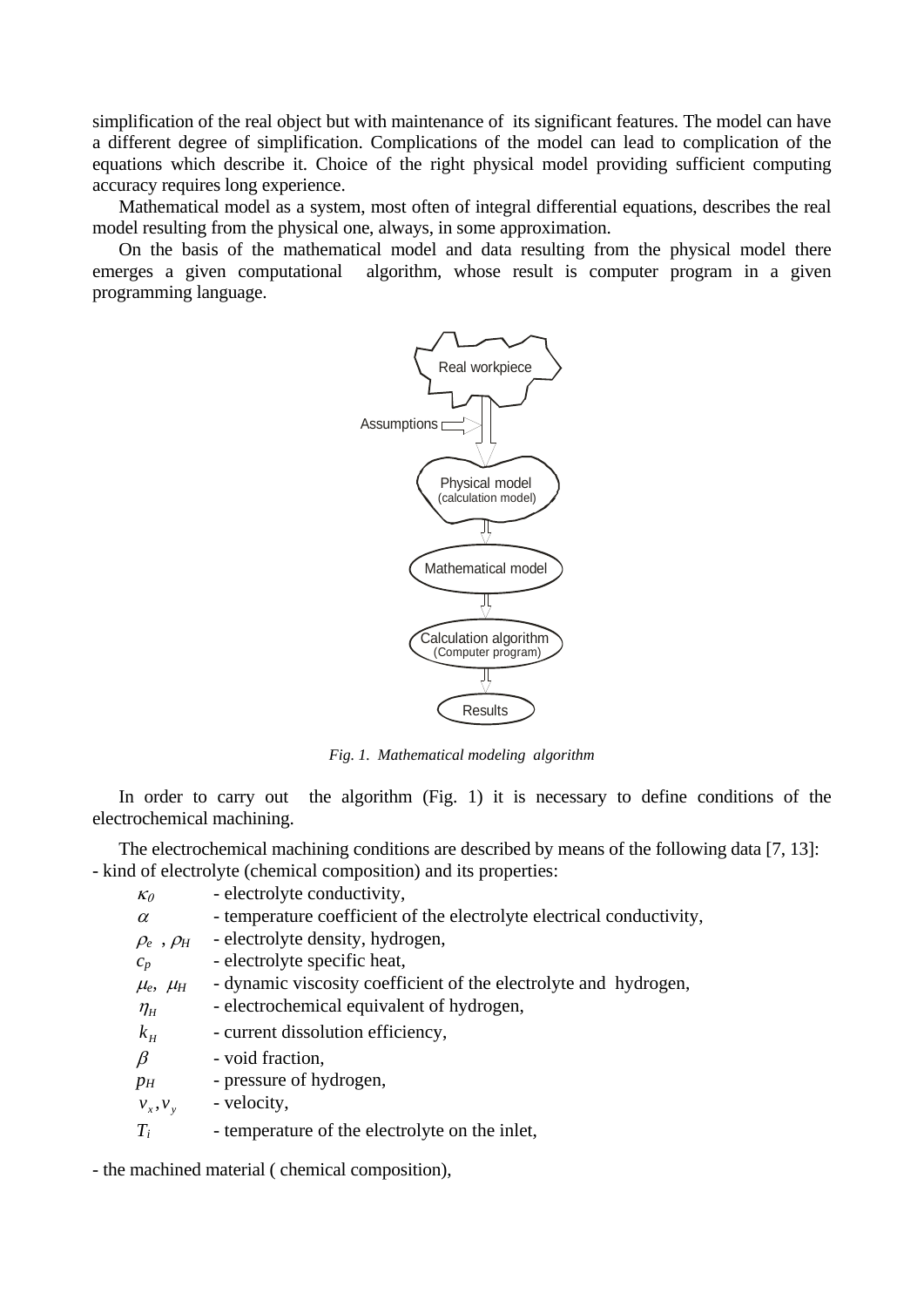simplification of the real object but with maintenance of its significant features. The model can have a different degree of simplification. Complications of the model can lead to complication of the equations which describe it. Choice of the right physical model providing sufficient computing accuracy requires long experience.

 Mathematical model as a system, most often of integral differential equations, describes the real model resulting from the physical one, always, in some approximation.

 On the basis of the mathematical model and data resulting from the physical model there emerges a given computational algorithm, whose result is computer program in a given programming language.



*Fig. 1. Mathematical modeling algorithm* 

In order to carry out the algorithm (Fig. 1) it is necessary to define conditions of the electrochemical machining.

 The electrochemical machining conditions are described by means of the following data [7, 13]: - kind of electrolyte (chemical composition) and its properties:

- $\kappa_0$  electrolyte conductivity,
- $\alpha$  temperature coefficient of the electrolyte electrical conductivity,
- $\rho_e$ ,  $\rho_H$  electrolyte density, hydrogen,
- $c_p$  electrolyte specific heat,
- $\mu_e$ ,  $\mu_H$  dynamic viscosity coefficient of the electrolyte and hydrogen,
- $\eta$ <sub>H</sub> electrochemical equivalent of hydrogen,
- $k<sub>H</sub>$  current dissolution efficiency,
- $\beta$  void fraction,
- *p<sub>H</sub>* pressure of hydrogen,
- $v_r, v_v$  velocity,

*T<sub>i</sub>* - temperature of the electrolyte on the inlet.

- the machined material ( chemical composition),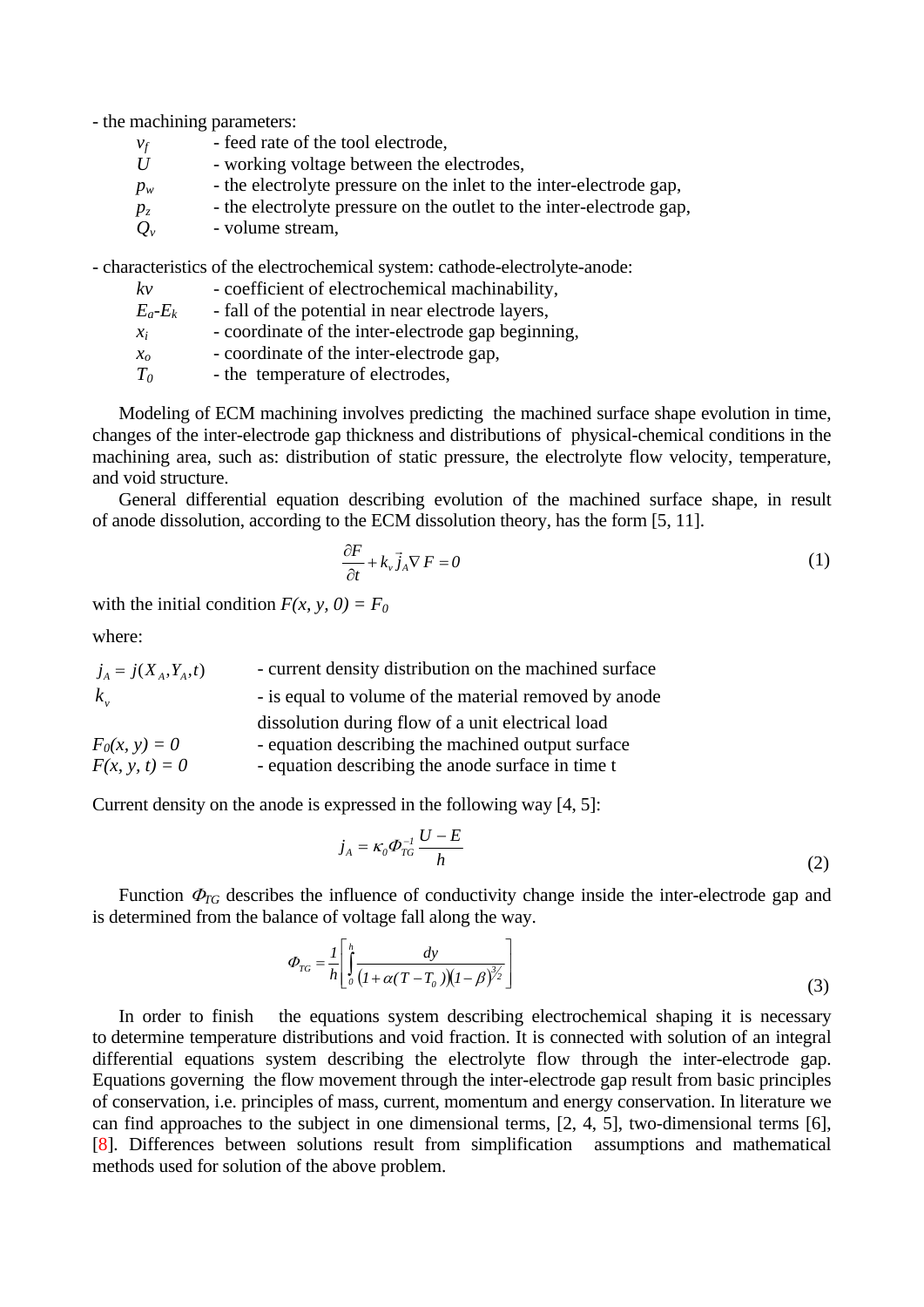- the machining parameters:

| - feed rate of the tool electrode,<br>$v_f$ |  |
|---------------------------------------------|--|
|---------------------------------------------|--|

- *U* working voltage between the electrodes,
- $p_w$  the electrolyte pressure on the inlet to the inter-electrode gap,
- $p<sub>z</sub>$  the electrolyte pressure on the outlet to the inter-electrode gap,
- *Qv*  volume stream,

- characteristics of the electrochemical system: cathode-electrolyte-anode:

| $k\nu$          | - coefficient of electrochemical machinability,                           |
|-----------------|---------------------------------------------------------------------------|
| $E_a - E_k$     | - fall of the potential in near electrode layers,                         |
| $\chi_i$        | - coordinate of the inter-electrode gap beginning,                        |
| $\chi_{\alpha}$ | - coordinate of the inter-electrode gap,                                  |
|                 | $\alpha$ and $\alpha$ and $\alpha$ and $\alpha$ and $\alpha$ and $\alpha$ |

*T*<sub>0</sub> - the temperature of electrodes,

 Modeling of ECM machining involves predicting the machined surface shape evolution in time, changes of the inter-electrode gap thickness and distributions of physical-chemical conditions in the machining area, such as: distribution of static pressure, the electrolyte flow velocity, temperature, and void structure.

 General differential equation describing evolution of the machined surface shape, in result of anode dissolution, according to the ECM dissolution theory, has the form [5, 11].

$$
\frac{\partial F}{\partial t} + k_v \vec{j}_A \nabla F = 0 \tag{1}
$$

with the initial condition  $F(x, y, 0) = F_0$ 

where:

| $j_A = j(X_A, Y_A, t)$ | - current density distribution on the machined surface |
|------------------------|--------------------------------------------------------|
| $k_{v}$                | - is equal to volume of the material removed by anode  |
|                        | dissolution during flow of a unit electrical load      |
| $F_0(x, y) = 0$        | - equation describing the machined output surface      |
| $F(x, y, t) = 0$       | - equation describing the anode surface in time t      |

Current density on the anode is expressed in the following way [4, 5]:

$$
j_A = \kappa_0 \Phi_{TG}^{-1} \frac{U - E}{h}
$$
 (2)

Function  $\Phi_{TG}$  describes the influence of conductivity change inside the inter-electrode gap and is determined from the balance of voltage fall along the way.

$$
\varPhi_{TG} = \frac{1}{h} \left[ \int_0^h \frac{dy}{\left(1 + \alpha (T - T_0)\right)\left(1 - \beta\right)^{3/2}} \right] \tag{3}
$$

In order to finish the equations system describing electrochemical shaping it is necessary to determine temperature distributions and void fraction. It is connected with solution of an integral differential equations system describing the electrolyte flow through the inter-electrode gap. Equations governing the flow movement through the inter-electrode gap result from basic principles of conservation, i.e. principles of mass, current, momentum and energy conservation. In literature we can find approaches to the subject in one dimensional terms, [2, 4, 5], two-dimensional terms [6], [8]. Differences between solutions result from simplification assumptions and mathematical methods used for solution of the above problem.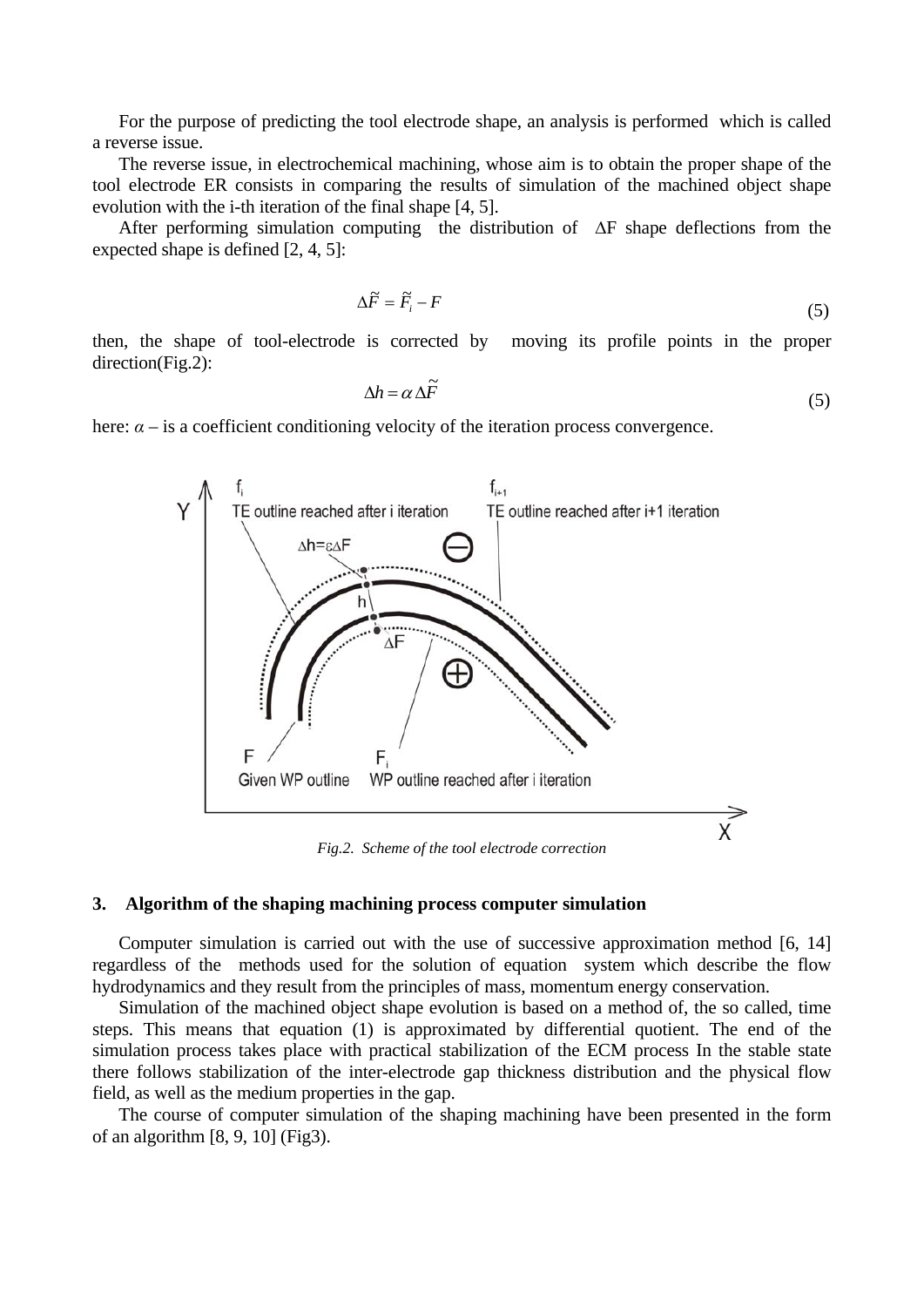For the purpose of predicting the tool electrode shape, an analysis is performed which is called a reverse issue.

 The reverse issue, in electrochemical machining, whose aim is to obtain the proper shape of the tool electrode ER consists in comparing the results of simulation of the machined object shape evolution with the i-th iteration of the final shape [4, 5].

 After performing simulation computing the distribution of ∆F shape deflections from the expected shape is defined [2, 4, 5]:

$$
\Delta \vec{F} = \vec{F}_i - F \tag{5}
$$

then, the shape of tool-electrode is corrected by moving its profile points in the proper direction(Fig.2):

$$
\Delta h = \alpha \Delta \tilde{F}
$$
 (5)

here:  $\alpha$  – is a coefficient conditioning velocity of the iteration process convergence.



*Fig.2. Scheme of the tool electrode correction* 

#### **3. Algorithm of the shaping machining process computer simulation**

 Computer simulation is carried out with the use of successive approximation method [6, 14] regardless of the methods used for the solution of equation system which describe the flow hydrodynamics and they result from the principles of mass, momentum energy conservation.

 Simulation of the machined object shape evolution is based on a method of, the so called, time steps. This means that equation (1) is approximated by differential quotient. The end of the simulation process takes place with practical stabilization of the ECM process In the stable state there follows stabilization of the inter-electrode gap thickness distribution and the physical flow field, as well as the medium properties in the gap.

 The course of computer simulation of the shaping machining have been presented in the form of an algorithm [8, 9, 10] (Fig3).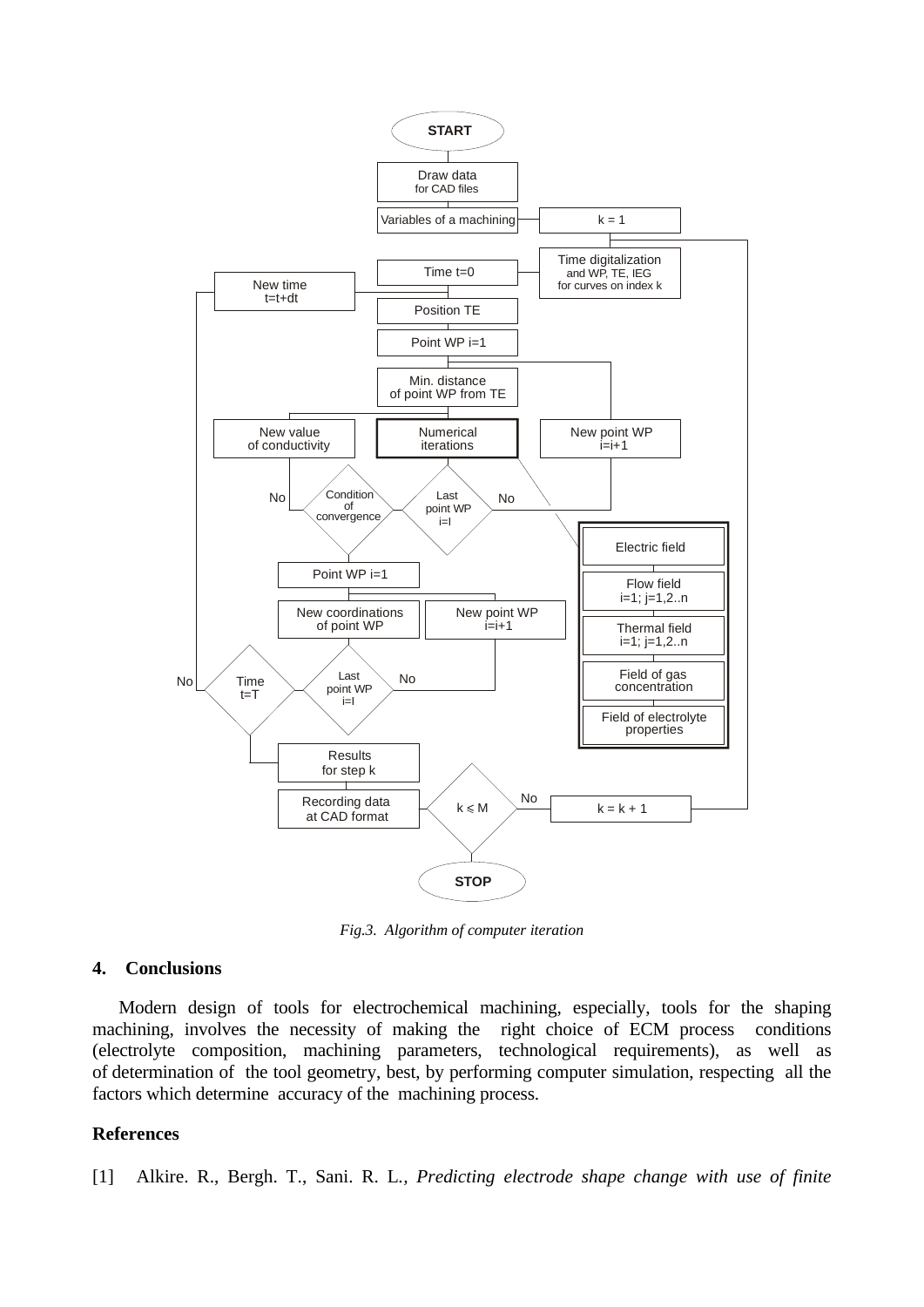

*Fig.3. Algorithm of computer iteration* 

## **4. Conclusions**

 Modern design of tools for electrochemical machining, especially, tools for the shaping machining, involves the necessity of making the right choice of ECM process conditions (electrolyte composition, machining parameters, technological requirements), as well as of determination of the tool geometry, best, by performing computer simulation, respecting all the factors which determine accuracy of the machining process.

## **References**

[1] Alkire. R., Bergh. T., Sani. R. L*., Predicting electrode shape change with use of finite*